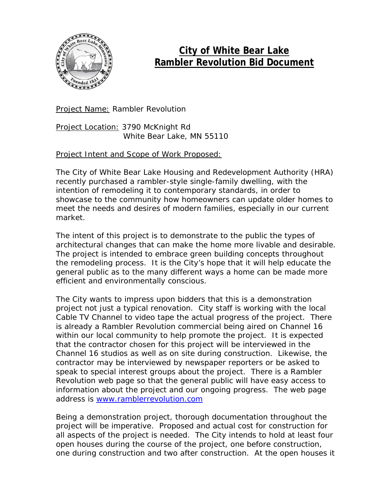

## **City of White Bear Lake Rambler Revolution Bid Document**

**Project Name: Rambler Revolution** 

Project Location: 3790 McKnight Rd White Bear Lake, MN 55110

Project Intent and Scope of Work Proposed:

The City of White Bear Lake Housing and Redevelopment Authority (HRA) recently purchased a rambler-style single-family dwelling, with the intention of remodeling it to contemporary standards, in order to showcase to the community how homeowners can update older homes to meet the needs and desires of modern families, especially in our current market.

The intent of this project is to demonstrate to the public the types of architectural changes that can make the home more livable and desirable. The project is intended to embrace green building concepts throughout the remodeling process. It is the City's hope that it will help educate the general public as to the many different ways a home can be made more efficient and environmentally conscious.

The City wants to impress upon bidders that this is a demonstration project not just a typical renovation. City staff is working with the local Cable TV Channel to video tape the actual progress of the project. There is already a Rambler Revolution commercial being aired on Channel 16 within our local community to help promote the project. It is expected that the contractor chosen for this project will be interviewed in the Channel 16 studios as well as on site during construction. Likewise, the contractor may be interviewed by newspaper reporters or be asked to speak to special interest groups about the project. There is a Rambler Revolution web page so that the general public will have easy access to information about the project and our ongoing progress. The web page address is [www.ramblerrevolution.com](http://www.ramblerrevolution.com/)

Being a demonstration project, thorough documentation throughout the project will be imperative. Proposed and actual cost for construction for all aspects of the project is needed. The City intends to hold at least four open houses during the course of the project, one before construction, one during construction and two after construction. At the open houses it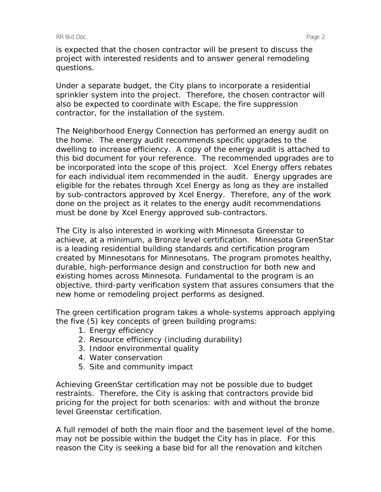is expected that the chosen contractor will be present to discuss the project with interested residents and to answer general remodeling questions.

Under a separate budget, the City plans to incorporate a residential sprinkler system into the project. Therefore, the chosen contractor will also be expected to coordinate with Escape, the fire suppression contractor, for the installation of the system.

The Neighborhood Energy Connection has performed an energy audit on the home. The energy audit recommends specific upgrades to the dwelling to increase efficiency. A copy of the energy audit is attached to this bid document for your reference. The recommended upgrades are to be incorporated into the scope of this project. Xcel Energy offers rebates for each individual item recommended in the audit. Energy upgrades are eligible for the rebates through Xcel Energy as long as they are installed by sub-contractors approved by Xcel Energy. Therefore, any of the work done on the project as it relates to the energy audit recommendations must be done by Xcel Energy approved sub-contractors.

The City is also interested in working with Minnesota Greenstar to achieve, at a minimum, a Bronze level certification. Minnesota GreenStar is a leading residential building standards and certification program created by Minnesotans for Minnesotans. The program promotes healthy, durable, high-performance design and construction for both new and existing homes across Minnesota. Fundamental to the program is an objective, third-party verification system that assures consumers that the new home or remodeling project performs as designed.

The green certification program takes a whole-systems approach applying the five (5) key concepts of green building programs:

- 1. Energy efficiency
- 2. Resource efficiency (including durability)
- 3. Indoor environmental quality
- 4. Water conservation
- 5. Site and community impact

Achieving GreenStar certification may not be possible due to budget restraints. Therefore, the City is asking that contractors provide bid pricing for the project for both scenarios: with and without the bronze level Greenstar certification.

A full remodel of both the main floor and the basement level of the home. may not be possible within the budget the City has in place. For this reason the City is seeking a base bid for all the renovation and kitchen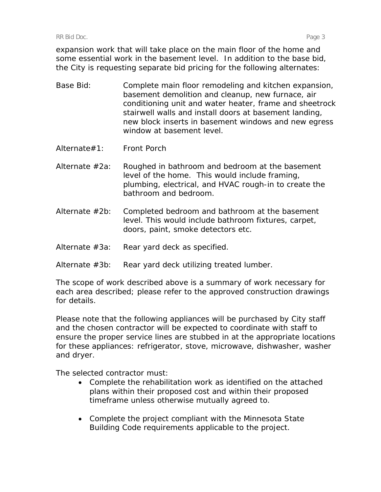expansion work that will take place on the main floor of the home and some essential work in the basement level. In addition to the base bid, the City is requesting separate bid pricing for the following alternates:

- Base Bid: Complete main floor remodeling and kitchen expansion, basement demolition and cleanup, new furnace, air conditioning unit and water heater, frame and sheetrock stairwell walls and install doors at basement landing, new block inserts in basement windows and new egress window at basement level.
- Alternate#1: Front Porch
- Alternate #2a: Roughed in bathroom and bedroom at the basement level of the home. This would include framing, plumbing, electrical, and HVAC rough-in to create the bathroom and bedroom.
- Alternate #2b: Completed bedroom and bathroom at the basement level. This would include bathroom fixtures, carpet, doors, paint, smoke detectors etc.
- Alternate #3a: Rear yard deck as specified.
- Alternate #3b: Rear yard deck utilizing treated lumber.

The scope of work described above is a summary of work necessary for each area described; please refer to the approved construction drawings for details.

Please note that the following appliances will be purchased by City staff and the chosen contractor will be expected to coordinate with staff to ensure the proper service lines are stubbed in at the appropriate locations for these appliances: refrigerator, stove, microwave, dishwasher, washer and dryer.

The selected contractor must:

- Complete the rehabilitation work as identified on the attached plans within their proposed cost and within their proposed timeframe unless otherwise mutually agreed to.
- Complete the project compliant with the Minnesota State Building Code requirements applicable to the project.